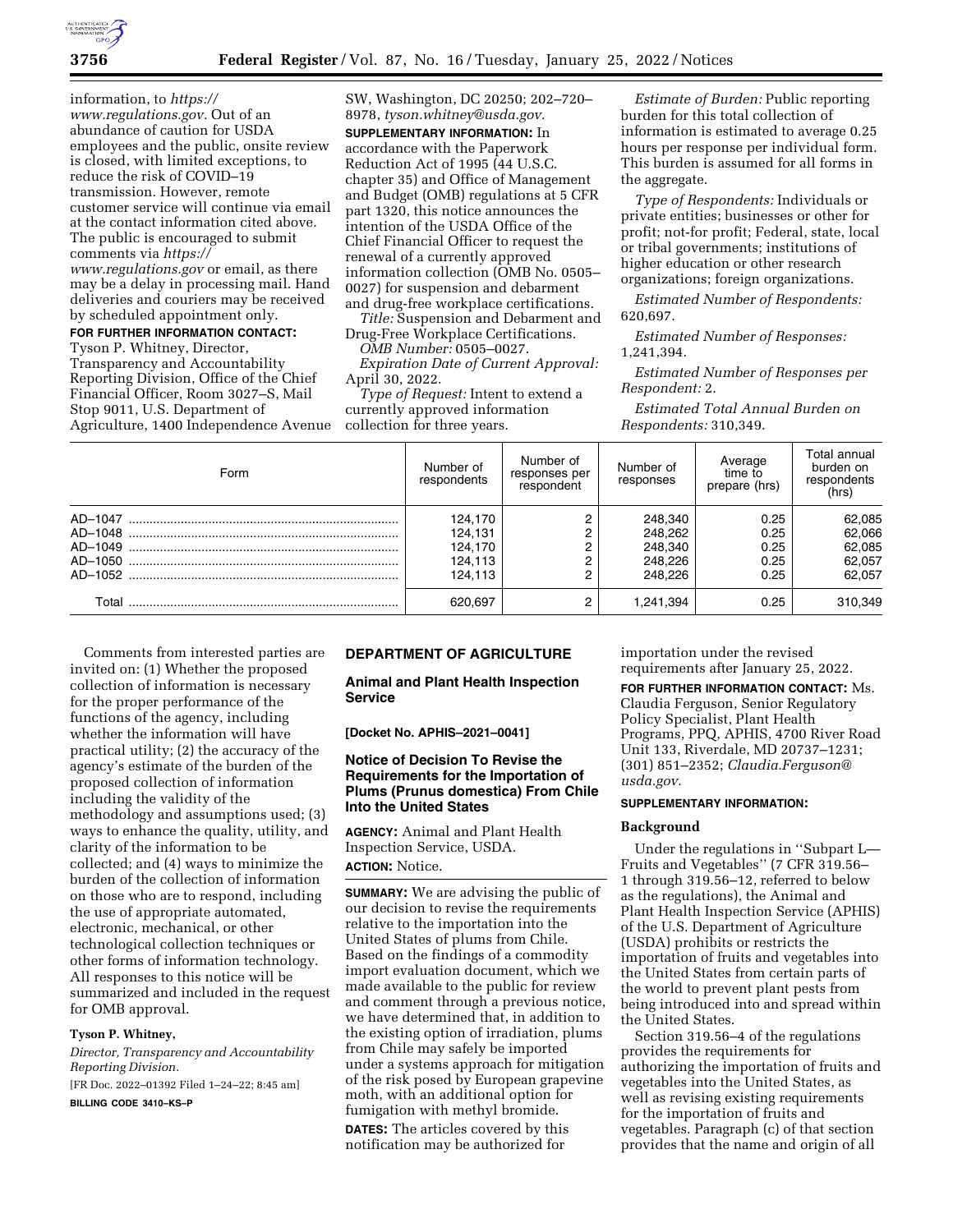information, to *[https://](https://www.regulations.gov) [www.regulations.gov.](https://www.regulations.gov)* Out of an abundance of caution for USDA employees and the public, onsite review is closed, with limited exceptions, to reduce the risk of COVID–19 transmission. However, remote customer service will continue via email at the contact information cited above. The public is encouraged to submit comments via *[https://](https://www.regulations.gov) [www.regulations.gov](https://www.regulations.gov)* or email, as there may be a delay in processing mail. Hand deliveries and couriers may be received by scheduled appointment only. **FOR FURTHER INFORMATION CONTACT:** 

# Tyson P. Whitney, Director,

Transparency and Accountability Reporting Division, Office of the Chief Financial Officer, Room 3027–S, Mail Stop 9011, U.S. Department of Agriculture, 1400 Independence Avenue

SW, Washington, DC 20250; 202–720– 8978, *[tyson.whitney@usda.gov.](mailto:tyson.whitney@usda.gov)*  **SUPPLEMENTARY INFORMATION:** In accordance with the Paperwork Reduction Act of 1995 (44 U.S.C. chapter 35) and Office of Management and Budget (OMB) regulations at 5 CFR part 1320, this notice announces the intention of the USDA Office of the Chief Financial Officer to request the renewal of a currently approved information collection (OMB No. 0505– 0027) for suspension and debarment and drug-free workplace certifications.

*Title:* Suspension and Debarment and Drug-Free Workplace Certifications.

*OMB Number:* 0505–0027.

*Expiration Date of Current Approval:*  April 30, 2022.

*Type of Request:* Intent to extend a currently approved information collection for three years.

*Estimate of Burden:* Public reporting burden for this total collection of information is estimated to average 0.25 hours per response per individual form. This burden is assumed for all forms in the aggregate.

*Type of Respondents:* Individuals or private entities; businesses or other for profit; not-for profit; Federal, state, local or tribal governments; institutions of higher education or other research organizations; foreign organizations.

*Estimated Number of Respondents:*  620,697.

*Estimated Number of Responses:*  1,241,394.

*Estimated Number of Responses per Respondent:* 2.

*Estimated Total Annual Burden on Respondents:* 310,349.

| Form  | Number of<br>respondents | Number of<br>responses per<br>respondent | Number of<br>responses | Average<br>time to<br>prepare (hrs) | Total annual<br>burden on<br>respondents<br>(hrs) |
|-------|--------------------------|------------------------------------------|------------------------|-------------------------------------|---------------------------------------------------|
|       | 124.170                  |                                          | 248,340                | 0.25                                | 62,085                                            |
|       | 124.131                  |                                          | 248.262                | 0.25                                | 62,066                                            |
|       | 124.170                  |                                          | 248,340                | 0.25                                | 62,085                                            |
|       | 124.113                  |                                          | 248.226                | 0.25                                | 62.057                                            |
|       | 124.113                  |                                          | 248.226                | 0.25                                | 62.057                                            |
| Total | 620.697                  |                                          | 1.241.394              | 0.25                                | 310,349                                           |

Comments from interested parties are invited on: (1) Whether the proposed collection of information is necessary for the proper performance of the functions of the agency, including whether the information will have practical utility; (2) the accuracy of the agency's estimate of the burden of the proposed collection of information including the validity of the methodology and assumptions used; (3) ways to enhance the quality, utility, and clarity of the information to be collected; and (4) ways to minimize the burden of the collection of information on those who are to respond, including the use of appropriate automated, electronic, mechanical, or other technological collection techniques or other forms of information technology. All responses to this notice will be summarized and included in the request for OMB approval.

# **Tyson P. Whitney,**

*Director, Transparency and Accountability Reporting Division.* 

[FR Doc. 2022–01392 Filed 1–24–22; 8:45 am]

**BILLING CODE 3410–KS–P** 

## **DEPARTMENT OF AGRICULTURE**

**Animal and Plant Health Inspection Service** 

**[Docket No. APHIS–2021–0041]** 

## **Notice of Decision To Revise the Requirements for the Importation of Plums (Prunus domestica) From Chile Into the United States**

**AGENCY:** Animal and Plant Health Inspection Service, USDA. **ACTION:** Notice.

**SUMMARY:** We are advising the public of our decision to revise the requirements relative to the importation into the United States of plums from Chile. Based on the findings of a commodity import evaluation document, which we made available to the public for review and comment through a previous notice, we have determined that, in addition to the existing option of irradiation, plums from Chile may safely be imported under a systems approach for mitigation of the risk posed by European grapevine moth, with an additional option for fumigation with methyl bromide.

**DATES:** The articles covered by this notification may be authorized for

importation under the revised requirements after January 25, 2022.

**FOR FURTHER INFORMATION CONTACT:** Ms. Claudia Ferguson, Senior Regulatory Policy Specialist, Plant Health Programs, PPQ, APHIS, 4700 River Road Unit 133, Riverdale, MD 20737–1231; (301) 851–2352; *[Claudia.Ferguson@](mailto:Claudia.Ferguson@usda.gov) [usda.gov.](mailto:Claudia.Ferguson@usda.gov)* 

#### **SUPPLEMENTARY INFORMATION:**

#### **Background**

Under the regulations in ''Subpart L— Fruits and Vegetables'' (7 CFR 319.56– 1 through 319.56–12, referred to below as the regulations), the Animal and Plant Health Inspection Service (APHIS) of the U.S. Department of Agriculture (USDA) prohibits or restricts the importation of fruits and vegetables into the United States from certain parts of the world to prevent plant pests from being introduced into and spread within the United States.

Section 319.56–4 of the regulations provides the requirements for authorizing the importation of fruits and vegetables into the United States, as well as revising existing requirements for the importation of fruits and vegetables. Paragraph (c) of that section provides that the name and origin of all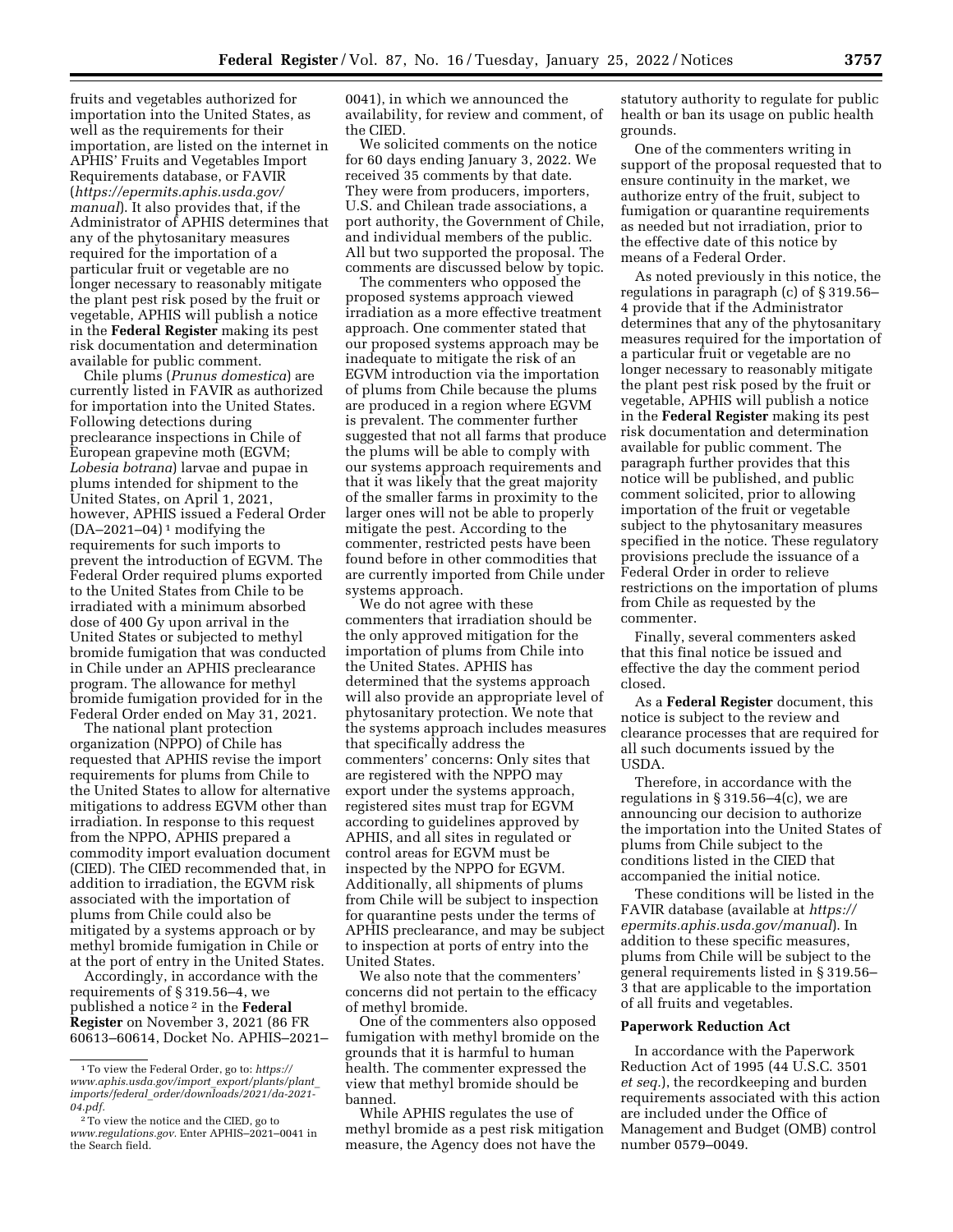fruits and vegetables authorized for importation into the United States, as well as the requirements for their importation, are listed on the internet in APHIS' Fruits and Vegetables Import Requirements database, or FAVIR (*[https://epermits.aphis.usda.gov/](https://epermits.aphis.usda.gov/manual) [manual](https://epermits.aphis.usda.gov/manual)*). It also provides that, if the Administrator of APHIS determines that any of the phytosanitary measures required for the importation of a particular fruit or vegetable are no longer necessary to reasonably mitigate the plant pest risk posed by the fruit or vegetable, APHIS will publish a notice in the **Federal Register** making its pest risk documentation and determination available for public comment.

Chile plums (*Prunus domestica*) are currently listed in FAVIR as authorized for importation into the United States. Following detections during preclearance inspections in Chile of European grapevine moth (EGVM; *Lobesia botrana*) larvae and pupae in plums intended for shipment to the United States, on April 1, 2021, however, APHIS issued a Federal Order  $(DA-2021-04)^1$  modifying the requirements for such imports to prevent the introduction of EGVM. The Federal Order required plums exported to the United States from Chile to be irradiated with a minimum absorbed dose of 400 Gy upon arrival in the United States or subjected to methyl bromide fumigation that was conducted in Chile under an APHIS preclearance program. The allowance for methyl bromide fumigation provided for in the Federal Order ended on May 31, 2021.

The national plant protection organization (NPPO) of Chile has requested that APHIS revise the import requirements for plums from Chile to the United States to allow for alternative mitigations to address EGVM other than irradiation. In response to this request from the NPPO, APHIS prepared a commodity import evaluation document (CIED). The CIED recommended that, in addition to irradiation, the EGVM risk associated with the importation of plums from Chile could also be mitigated by a systems approach or by methyl bromide fumigation in Chile or at the port of entry in the United States.

Accordingly, in accordance with the requirements of § 319.56–4, we published a notice 2 in the **Federal Register** on November 3, 2021 (86 FR 60613–60614, Docket No. APHIS–2021– 0041), in which we announced the availability, for review and comment, of the CIED.

We solicited comments on the notice for 60 days ending January 3, 2022. We received 35 comments by that date. They were from producers, importers, U.S. and Chilean trade associations, a port authority, the Government of Chile, and individual members of the public. All but two supported the proposal. The comments are discussed below by topic.

The commenters who opposed the proposed systems approach viewed irradiation as a more effective treatment approach. One commenter stated that our proposed systems approach may be inadequate to mitigate the risk of an EGVM introduction via the importation of plums from Chile because the plums are produced in a region where EGVM is prevalent. The commenter further suggested that not all farms that produce the plums will be able to comply with our systems approach requirements and that it was likely that the great majority of the smaller farms in proximity to the larger ones will not be able to properly mitigate the pest. According to the commenter, restricted pests have been found before in other commodities that are currently imported from Chile under systems approach.

We do not agree with these commenters that irradiation should be the only approved mitigation for the importation of plums from Chile into the United States. APHIS has determined that the systems approach will also provide an appropriate level of phytosanitary protection. We note that the systems approach includes measures that specifically address the commenters' concerns: Only sites that are registered with the NPPO may export under the systems approach, registered sites must trap for EGVM according to guidelines approved by APHIS, and all sites in regulated or control areas for EGVM must be inspected by the NPPO for EGVM. Additionally, all shipments of plums from Chile will be subject to inspection for quarantine pests under the terms of APHIS preclearance, and may be subject to inspection at ports of entry into the United States.

We also note that the commenters' concerns did not pertain to the efficacy of methyl bromide.

One of the commenters also opposed fumigation with methyl bromide on the grounds that it is harmful to human health. The commenter expressed the view that methyl bromide should be banned.

While APHIS regulates the use of methyl bromide as a pest risk mitigation measure, the Agency does not have the

statutory authority to regulate for public health or ban its usage on public health grounds.

One of the commenters writing in support of the proposal requested that to ensure continuity in the market, we authorize entry of the fruit, subject to fumigation or quarantine requirements as needed but not irradiation, prior to the effective date of this notice by means of a Federal Order.

As noted previously in this notice, the regulations in paragraph (c) of § 319.56– 4 provide that if the Administrator determines that any of the phytosanitary measures required for the importation of a particular fruit or vegetable are no longer necessary to reasonably mitigate the plant pest risk posed by the fruit or vegetable, APHIS will publish a notice in the **Federal Register** making its pest risk documentation and determination available for public comment. The paragraph further provides that this notice will be published, and public comment solicited, prior to allowing importation of the fruit or vegetable subject to the phytosanitary measures specified in the notice. These regulatory provisions preclude the issuance of a Federal Order in order to relieve restrictions on the importation of plums from Chile as requested by the commenter.

Finally, several commenters asked that this final notice be issued and effective the day the comment period closed.

As a **Federal Register** document, this notice is subject to the review and clearance processes that are required for all such documents issued by the USDA.

Therefore, in accordance with the regulations in  $\S 319.56-4(c)$ , we are announcing our decision to authorize the importation into the United States of plums from Chile subject to the conditions listed in the CIED that accompanied the initial notice.

These conditions will be listed in the FAVIR database (available at *[https://](https://epermits.aphis.usda.gov/manual) [epermits.aphis.usda.gov/manual](https://epermits.aphis.usda.gov/manual)*). In addition to these specific measures, plums from Chile will be subject to the general requirements listed in § 319.56– 3 that are applicable to the importation of all fruits and vegetables.

#### **Paperwork Reduction Act**

In accordance with the Paperwork Reduction Act of 1995 (44 U.S.C. 3501 *et seq.*), the recordkeeping and burden requirements associated with this action are included under the Office of Management and Budget (OMB) control number 0579–0049.

<sup>1</sup>To view the Federal Order, go to: *[https://](https://www.aphis.usda.gov/import_export/plants/plant_imports/federal_order/downloads/2021/da-2021-04.pdf) [www.aphis.usda.gov/import](https://www.aphis.usda.gov/import_export/plants/plant_imports/federal_order/downloads/2021/da-2021-04.pdf)*\_*export/plants/plant*\_ *imports/federal*\_*[order/downloads/2021/da-2021-](https://www.aphis.usda.gov/import_export/plants/plant_imports/federal_order/downloads/2021/da-2021-04.pdf)  [04.pdf.](https://www.aphis.usda.gov/import_export/plants/plant_imports/federal_order/downloads/2021/da-2021-04.pdf)* 

<sup>2</sup>To view the notice and the CIED, go to *[www.regulations.gov.](http://www.regulations.gov)* Enter APHIS–2021–0041 in the Search field.